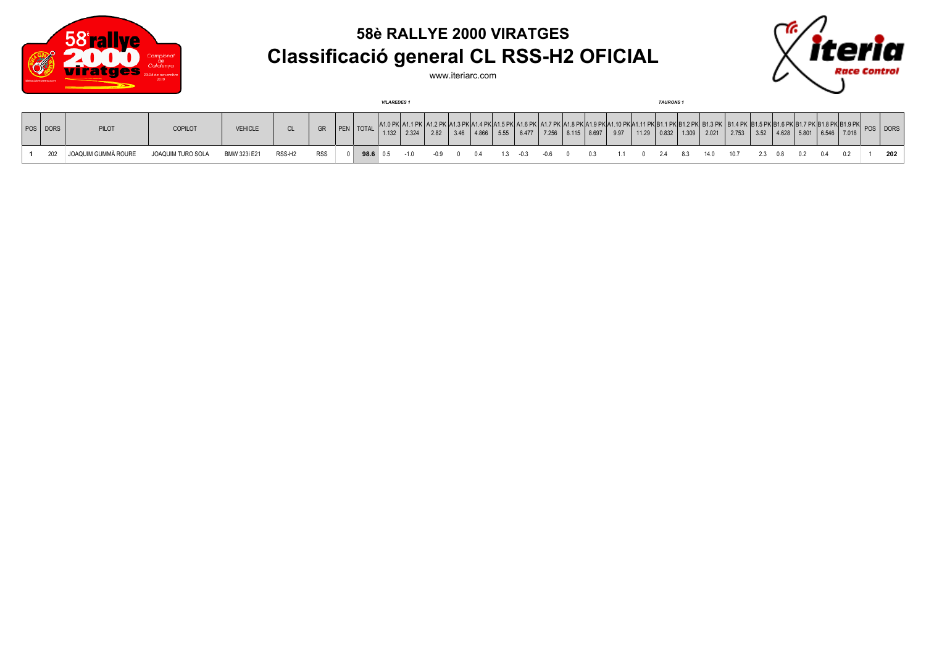

## **58è RALLYE 2000 VIRATGES Classificació general CL RSS-H2 OFICIAL**



www.iteriarc.com

|          |                     |                   |                |                    |            |                    | <b>VILAREDES 1</b> |               |        |       |             |       |     |                                                                                                                                 |      | <b>TAURONS1</b>               |      |       |         |           |                                                                              |     |          |     |
|----------|---------------------|-------------------|----------------|--------------------|------------|--------------------|--------------------|---------------|--------|-------|-------------|-------|-----|---------------------------------------------------------------------------------------------------------------------------------|------|-------------------------------|------|-------|---------|-----------|------------------------------------------------------------------------------|-----|----------|-----|
| POS DORS | PILOT               | <b>COPILOT</b>    | <b>VEHICLE</b> | <b>CL</b>          | <b>GR</b>  | <b>PEN</b>   TOTAL |                    | $1.132$ 2.324 | 2.82   | 4.866 | 5.55        | 6.477 |     | . אום ג'ו גם ו' אום נ' גם ו'אום מ' ג'ום ו' ג'ום ו' ג'ון ג'ון ג'ון ג'ון ג'ון ג'ון ג'ון או ג'ון אום ס' ג'ו<br>$7.256$ 8.115 8.697 | 9.97 | 11.29   0.832   1.309   2.021 |      | 2.753 |         |           | $\vert$ 3.52 $\vert$ 4.628 $\vert$ 5.801 $\vert$ 6.546 $\vert$ 7.018 $\vert$ |     | POS DORS |     |
| 202      | JOAQUIM GUMMÀ ROURE | JOAQUIM TURO SOLA | BMW 323i E21   | RSS-H <sub>2</sub> | <b>RSS</b> | 98.6   0.5         |                    | $-1.0$        | $-0.9$ |       | $1.3 - 0.3$ |       | -06 |                                                                                                                                 |      | $2.4$ 8.3                     | 14.0 | 10.7  | 2.3 0.8 | $0.2$ 0.4 |                                                                              | 0.2 |          | 202 |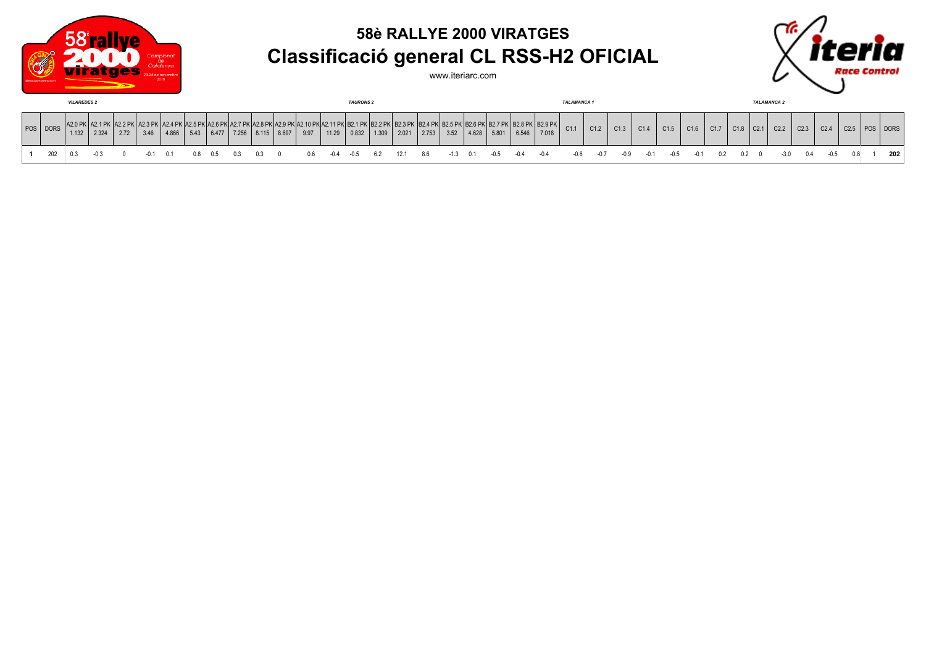

## **58è RALLYE 2000 VIRATGES Classificació general CL RSS-H2 OFICIAL**

www.iteriarc.com



| <b>VILAREDES 2</b> |       |       |      |      |       |  |       |       | <b>TAURONS 2</b> |      |       |       |                              |       |       |      | <b>TALAMANCA1</b> |       |       |                                                               |      |      |      |      | <b>TALAMANCA 2</b> |      |             |  |                  |      |      |      |                  |          |
|--------------------|-------|-------|------|------|-------|--|-------|-------|------------------|------|-------|-------|------------------------------|-------|-------|------|-------------------|-------|-------|---------------------------------------------------------------|------|------|------|------|--------------------|------|-------------|--|------------------|------|------|------|------------------|----------|
| POS DORS           | 1.132 | 2.324 | 2.72 | 3.46 | 4.866 |  | 6.477 | 7.256 | $8.115$ 8.697    | 9.97 | 11.29 | 0.832 | . BZ.Z PK BZ.J PK P<br>1.309 | 2.021 | 2.753 | 3.52 | 4.628             | 5.801 | 6.546 | . 1B2.4 PK B2.5 PK B2.6 PK B2.7 PK B2.8 PK B2.9 PK  <br>7.018 | C1.1 | C1.2 | C1.3 | C1.4 | C1.5               | C1.6 | 017<br>V1.1 |  | C <sub>2.1</sub> | C2.2 | C2.3 | C2.4 | C <sub>2.5</sub> | POS DORS |
|                    |       |       |      |      |       |  |       |       |                  |      |       |       |                              |       |       |      |                   |       |       |                                                               |      |      |      |      |                    |      |             |  |                  |      |      |      |                  | 202      |